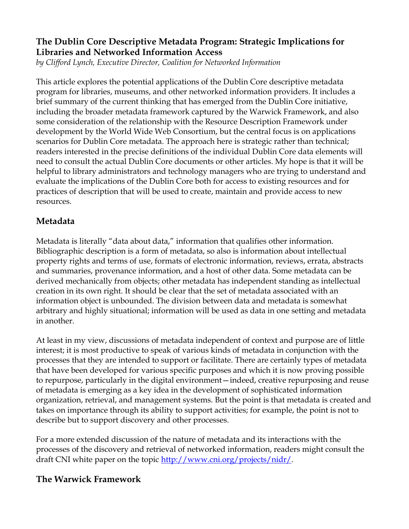## **The Dublin Core Descriptive Metadata Program: Strategic Implications for Libraries and Networked Information Access**

*by Clifford Lynch, Executive Director, Coalition for Networked Information*

This article explores the potential applications of the Dublin Core descriptive metadata program for libraries, museums, and other networked information providers. It includes a brief summary of the current thinking that has emerged from the Dublin Core initiative, including the broader metadata framework captured by the Warwick Framework, and also some consideration of the relationship with the Resource Description Framework under development by the World Wide Web Consortium, but the central focus is on applications scenarios for Dublin Core metadata. The approach here is strategic rather than technical; readers interested in the precise definitions of the individual Dublin Core data elements will need to consult the actual Dublin Core documents or other articles. My hope is that it will be helpful to library administrators and technology managers who are trying to understand and evaluate the implications of the Dublin Core both for access to existing resources and for practices of description that will be used to create, maintain and provide access to new resources.

## **Metadata**

Metadata is literally "data about data," information that qualifies other information. Bibliographic description is a form of metadata, so also is information about intellectual property rights and terms of use, formats of electronic information, reviews, errata, abstracts and summaries, provenance information, and a host of other data. Some metadata can be derived mechanically from objects; other metadata has independent standing as intellectual creation in its own right. It should be clear that the set of metadata associated with an information object is unbounded. The division between data and metadata is somewhat arbitrary and highly situational; information will be used as data in one setting and metadata in another.

At least in my view, discussions of metadata independent of context and purpose are of little interest; it is most productive to speak of various kinds of metadata in conjunction with the processes that they are intended to support or facilitate. There are certainly types of metadata that have been developed for various specific purposes and which it is now proving possible to repurpose, particularly in the digital environment—indeed, creative repurposing and reuse of metadata is emerging as a key idea in the development of sophisticated information organization, retrieval, and management systems. But the point is that metadata is created and takes on importance through its ability to support activities; for example, the point is not to describe but to support discovery and other processes.

For a more extended discussion of the nature of metadata and its interactions with the processes of the discovery and retrieval of networked information, readers might consult the draft CNI white paper on the topic http://www.cni.org/projects/nidr/.

## **The Warwick Framework**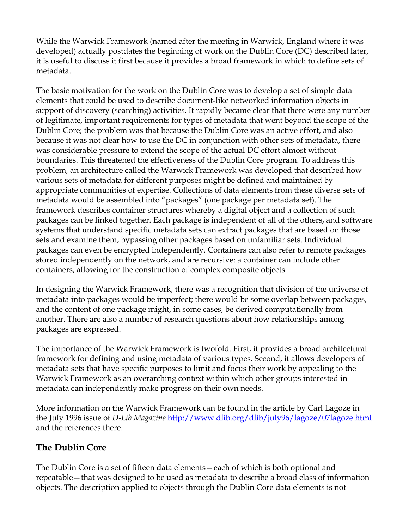While the Warwick Framework (named after the meeting in Warwick, England where it was developed) actually postdates the beginning of work on the Dublin Core (DC) described later, it is useful to discuss it first because it provides a broad framework in which to define sets of metadata.

The basic motivation for the work on the Dublin Core was to develop a set of simple data elements that could be used to describe document-like networked information objects in support of discovery (searching) activities. It rapidly became clear that there were any number of legitimate, important requirements for types of metadata that went beyond the scope of the Dublin Core; the problem was that because the Dublin Core was an active effort, and also because it was not clear how to use the DC in conjunction with other sets of metadata, there was considerable pressure to extend the scope of the actual DC effort almost without boundaries. This threatened the effectiveness of the Dublin Core program. To address this problem, an architecture called the Warwick Framework was developed that described how various sets of metadata for different purposes might be defined and maintained by appropriate communities of expertise. Collections of data elements from these diverse sets of metadata would be assembled into "packages" (one package per metadata set). The framework describes container structures whereby a digital object and a collection of such packages can be linked together. Each package is independent of all of the others, and software systems that understand specific metadata sets can extract packages that are based on those sets and examine them, bypassing other packages based on unfamiliar sets. Individual packages can even be encrypted independently. Containers can also refer to remote packages stored independently on the network, and are recursive: a container can include other containers, allowing for the construction of complex composite objects.

In designing the Warwick Framework, there was a recognition that division of the universe of metadata into packages would be imperfect; there would be some overlap between packages, and the content of one package might, in some cases, be derived computationally from another. There are also a number of research questions about how relationships among packages are expressed.

The importance of the Warwick Framework is twofold. First, it provides a broad architectural framework for defining and using metadata of various types. Second, it allows developers of metadata sets that have specific purposes to limit and focus their work by appealing to the Warwick Framework as an overarching context within which other groups interested in metadata can independently make progress on their own needs.

More information on the Warwick Framework can be found in the article by Carl Lagoze in the July 1996 issue of *D-Lib Magazine* http://www.dlib.org/dlib/july96/lagoze/07lagoze.html and the references there.

# **The Dublin Core**

The Dublin Core is a set of fifteen data elements—each of which is both optional and repeatable—that was designed to be used as metadata to describe a broad class of information objects. The description applied to objects through the Dublin Core data elements is not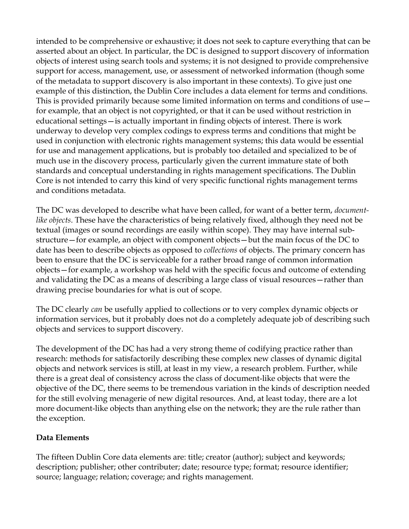intended to be comprehensive or exhaustive; it does not seek to capture everything that can be asserted about an object. In particular, the DC is designed to support discovery of information objects of interest using search tools and systems; it is not designed to provide comprehensive support for access, management, use, or assessment of networked information (though some of the metadata to support discovery is also important in these contexts). To give just one example of this distinction, the Dublin Core includes a data element for terms and conditions. This is provided primarily because some limited information on terms and conditions of use for example, that an object is not copyrighted, or that it can be used without restriction in educational settings—is actually important in finding objects of interest. There is work underway to develop very complex codings to express terms and conditions that might be used in conjunction with electronic rights management systems; this data would be essential for use and management applications, but is probably too detailed and specialized to be of much use in the discovery process, particularly given the current immature state of both standards and conceptual understanding in rights management specifications. The Dublin Core is not intended to carry this kind of very specific functional rights management terms and conditions metadata.

The DC was developed to describe what have been called, for want of a better term, *documentlike objects*. These have the characteristics of being relatively fixed, although they need not be textual (images or sound recordings are easily within scope). They may have internal substructure—for example, an object with component objects—but the main focus of the DC to date has been to describe objects as opposed to *collections* of objects. The primary concern has been to ensure that the DC is serviceable for a rather broad range of common information objects—for example, a workshop was held with the specific focus and outcome of extending and validating the DC as a means of describing a large class of visual resources—rather than drawing precise boundaries for what is out of scope.

The DC clearly *can* be usefully applied to collections or to very complex dynamic objects or information services, but it probably does not do a completely adequate job of describing such objects and services to support discovery.

The development of the DC has had a very strong theme of codifying practice rather than research: methods for satisfactorily describing these complex new classes of dynamic digital objects and network services is still, at least in my view, a research problem. Further, while there is a great deal of consistency across the class of document-like objects that were the objective of the DC, there seems to be tremendous variation in the kinds of description needed for the still evolving menagerie of new digital resources. And, at least today, there are a lot more document-like objects than anything else on the network; they are the rule rather than the exception.

#### **Data Elements**

The fifteen Dublin Core data elements are: title; creator (author); subject and keywords; description; publisher; other contributer; date; resource type; format; resource identifier; source; language; relation; coverage; and rights management.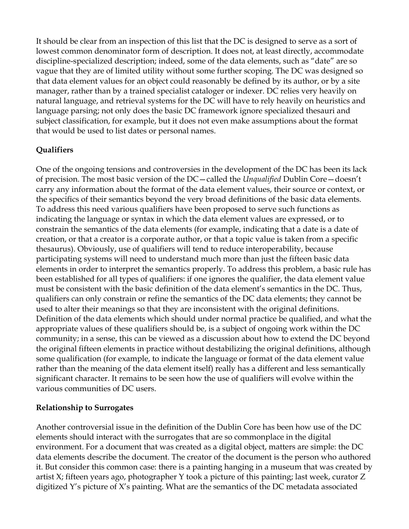It should be clear from an inspection of this list that the DC is designed to serve as a sort of lowest common denominator form of description. It does not, at least directly, accommodate discipline-specialized description; indeed, some of the data elements, such as "date" are so vague that they are of limited utility without some further scoping. The DC was designed so that data element values for an object could reasonably be defined by its author, or by a site manager, rather than by a trained specialist cataloger or indexer. DC relies very heavily on natural language, and retrieval systems for the DC will have to rely heavily on heuristics and language parsing; not only does the basic DC framework ignore specialized thesauri and subject classification, for example, but it does not even make assumptions about the format that would be used to list dates or personal names.

#### **Qualifiers**

One of the ongoing tensions and controversies in the development of the DC has been its lack of precision. The most basic version of the DC—called the *Unqualified* Dublin Core—doesn't carry any information about the format of the data element values, their source or context, or the specifics of their semantics beyond the very broad definitions of the basic data elements. To address this need various qualifiers have been proposed to serve such functions as indicating the language or syntax in which the data element values are expressed, or to constrain the semantics of the data elements (for example, indicating that a date is a date of creation, or that a creator is a corporate author, or that a topic value is taken from a specific thesaurus). Obviously, use of qualifiers will tend to reduce interoperability, because participating systems will need to understand much more than just the fifteen basic data elements in order to interpret the semantics properly. To address this problem, a basic rule has been established for all types of qualifiers: if one ignores the qualifier, the data element value must be consistent with the basic definition of the data element's semantics in the DC. Thus, qualifiers can only constrain or refine the semantics of the DC data elements; they cannot be used to alter their meanings so that they are inconsistent with the original definitions. Definition of the data elements which should under normal practice be qualified, and what the appropriate values of these qualifiers should be, is a subject of ongoing work within the DC community; in a sense, this can be viewed as a discussion about how to extend the DC beyond the original fifteen elements in practice without destabilizing the original definitions, although some qualification (for example, to indicate the language or format of the data element value rather than the meaning of the data element itself) really has a different and less semantically significant character. It remains to be seen how the use of qualifiers will evolve within the various communities of DC users.

#### **Relationship to Surrogates**

Another controversial issue in the definition of the Dublin Core has been how use of the DC elements should interact with the surrogates that are so commonplace in the digital environment. For a document that was created as a digital object, matters are simple: the DC data elements describe the document. The creator of the document is the person who authored it. But consider this common case: there is a painting hanging in a museum that was created by artist X; fifteen years ago, photographer Y took a picture of this painting; last week, curator Z digitized Y's picture of X's painting. What are the semantics of the DC metadata associated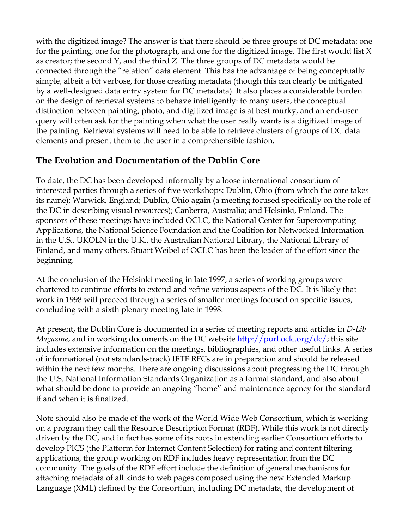with the digitized image? The answer is that there should be three groups of DC metadata: one for the painting, one for the photograph, and one for the digitized image. The first would list X as creator; the second Y, and the third Z. The three groups of DC metadata would be connected through the "relation" data element. This has the advantage of being conceptually simple, albeit a bit verbose, for those creating metadata (though this can clearly be mitigated by a well-designed data entry system for DC metadata). It also places a considerable burden on the design of retrieval systems to behave intelligently: to many users, the conceptual distinction between painting, photo, and digitized image is at best murky, and an end-user query will often ask for the painting when what the user really wants is a digitized image of the painting. Retrieval systems will need to be able to retrieve clusters of groups of DC data elements and present them to the user in a comprehensible fashion.

## **The Evolution and Documentation of the Dublin Core**

To date, the DC has been developed informally by a loose international consortium of interested parties through a series of five workshops: Dublin, Ohio (from which the core takes its name); Warwick, England; Dublin, Ohio again (a meeting focused specifically on the role of the DC in describing visual resources); Canberra, Australia; and Helsinki, Finland. The sponsors of these meetings have included OCLC, the National Center for Supercomputing Applications, the National Science Foundation and the Coalition for Networked Information in the U.S., UKOLN in the U.K., the Australian National Library, the National Library of Finland, and many others. Stuart Weibel of OCLC has been the leader of the effort since the beginning.

At the conclusion of the Helsinki meeting in late 1997, a series of working groups were chartered to continue efforts to extend and refine various aspects of the DC. It is likely that work in 1998 will proceed through a series of smaller meetings focused on specific issues, concluding with a sixth plenary meeting late in 1998.

At present, the Dublin Core is documented in a series of meeting reports and articles in *D-Lib Magazine*, and in working documents on the DC website http://purl.oclc.org/dc/; this site includes extensive information on the meetings, bibliographies, and other useful links. A series of informational (not standards-track) IETF RFCs are in preparation and should be released within the next few months. There are ongoing discussions about progressing the DC through the U.S. National Information Standards Organization as a formal standard, and also about what should be done to provide an ongoing "home" and maintenance agency for the standard if and when it is finalized.

Note should also be made of the work of the World Wide Web Consortium, which is working on a program they call the Resource Description Format (RDF). While this work is not directly driven by the DC, and in fact has some of its roots in extending earlier Consortium efforts to develop PICS (the Platform for Internet Content Selection) for rating and content filtering applications, the group working on RDF includes heavy representation from the DC community. The goals of the RDF effort include the definition of general mechanisms for attaching metadata of all kinds to web pages composed using the new Extended Markup Language (XML) defined by the Consortium, including DC metadata, the development of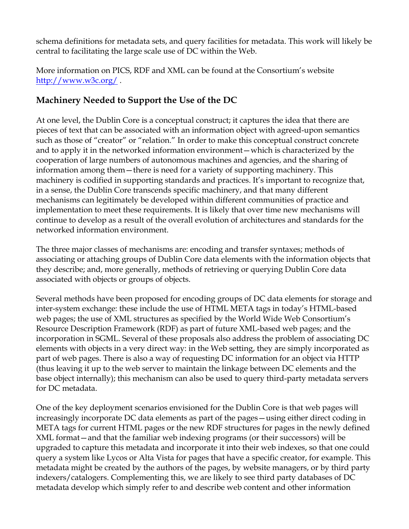schema definitions for metadata sets, and query facilities for metadata. This work will likely be central to facilitating the large scale use of DC within the Web.

More information on PICS, RDF and XML can be found at the Consortium's website http://www.w3c.org/ .

# **Machinery Needed to Support the Use of the DC**

At one level, the Dublin Core is a conceptual construct; it captures the idea that there are pieces of text that can be associated with an information object with agreed-upon semantics such as those of "creator" or "relation." In order to make this conceptual construct concrete and to apply it in the networked information environment—which is characterized by the cooperation of large numbers of autonomous machines and agencies, and the sharing of information among them—there is need for a variety of supporting machinery. This machinery is codified in supporting standards and practices. It's important to recognize that, in a sense, the Dublin Core transcends specific machinery, and that many different mechanisms can legitimately be developed within different communities of practice and implementation to meet these requirements. It is likely that over time new mechanisms will continue to develop as a result of the overall evolution of architectures and standards for the networked information environment.

The three major classes of mechanisms are: encoding and transfer syntaxes; methods of associating or attaching groups of Dublin Core data elements with the information objects that they describe; and, more generally, methods of retrieving or querying Dublin Core data associated with objects or groups of objects.

Several methods have been proposed for encoding groups of DC data elements for storage and inter-system exchange: these include the use of HTML META tags in today's HTML-based web pages; the use of XML structures as specified by the World Wide Web Consortium's Resource Description Framework (RDF) as part of future XML-based web pages; and the incorporation in SGML. Several of these proposals also address the problem of associating DC elements with objects in a very direct way: in the Web setting, they are simply incorporated as part of web pages. There is also a way of requesting DC information for an object via HTTP (thus leaving it up to the web server to maintain the linkage between DC elements and the base object internally); this mechanism can also be used to query third-party metadata servers for DC metadata.

One of the key deployment scenarios envisioned for the Dublin Core is that web pages will increasingly incorporate DC data elements as part of the pages—using either direct coding in META tags for current HTML pages or the new RDF structures for pages in the newly defined XML format—and that the familiar web indexing programs (or their successors) will be upgraded to capture this metadata and incorporate it into their web indexes, so that one could query a system like Lycos or Alta Vista for pages that have a specific creator, for example. This metadata might be created by the authors of the pages, by website managers, or by third party indexers/catalogers. Complementing this, we are likely to see third party databases of DC metadata develop which simply refer to and describe web content and other information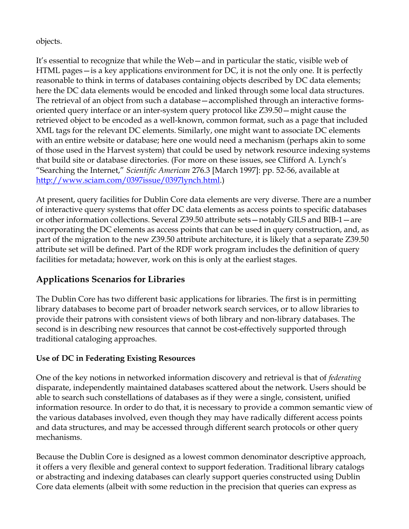objects.

It's essential to recognize that while the Web—and in particular the static, visible web of HTML pages—is a key applications environment for DC, it is not the only one. It is perfectly reasonable to think in terms of databases containing objects described by DC data elements; here the DC data elements would be encoded and linked through some local data structures. The retrieval of an object from such a database—accomplished through an interactive formsoriented query interface or an inter-system query protocol like Z39.50—might cause the retrieved object to be encoded as a well-known, common format, such as a page that included XML tags for the relevant DC elements. Similarly, one might want to associate DC elements with an entire website or database; here one would need a mechanism (perhaps akin to some of those used in the Harvest system) that could be used by network resource indexing systems that build site or database directories. (For more on these issues, see Clifford A. Lynch's "Searching the Internet," *Scientific American* 276.3 [March 1997]: pp. 52-56, available at http://www.sciam.com/0397issue/0397lynch.html.)

At present, query facilities for Dublin Core data elements are very diverse. There are a number of interactive query systems that offer DC data elements as access points to specific databases or other information collections. Several Z39.50 attribute sets—notably GILS and BIB-1—are incorporating the DC elements as access points that can be used in query construction, and, as part of the migration to the new Z39.50 attribute architecture, it is likely that a separate Z39.50 attribute set will be defined. Part of the RDF work program includes the definition of query facilities for metadata; however, work on this is only at the earliest stages.

# **Applications Scenarios for Libraries**

The Dublin Core has two different basic applications for libraries. The first is in permitting library databases to become part of broader network search services, or to allow libraries to provide their patrons with consistent views of both library and non-library databases. The second is in describing new resources that cannot be cost-effectively supported through traditional cataloging approaches.

#### **Use of DC in Federating Existing Resources**

One of the key notions in networked information discovery and retrieval is that of *federating* disparate, independently maintained databases scattered about the network. Users should be able to search such constellations of databases as if they were a single, consistent, unified information resource. In order to do that, it is necessary to provide a common semantic view of the various databases involved, even though they may have radically different access points and data structures, and may be accessed through different search protocols or other query mechanisms.

Because the Dublin Core is designed as a lowest common denominator descriptive approach, it offers a very flexible and general context to support federation. Traditional library catalogs or abstracting and indexing databases can clearly support queries constructed using Dublin Core data elements (albeit with some reduction in the precision that queries can express as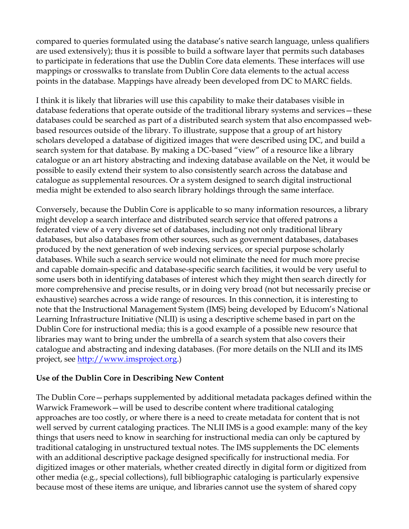compared to queries formulated using the database's native search language, unless qualifiers are used extensively); thus it is possible to build a software layer that permits such databases to participate in federations that use the Dublin Core data elements. These interfaces will use mappings or crosswalks to translate from Dublin Core data elements to the actual access points in the database. Mappings have already been developed from DC to MARC fields.

I think it is likely that libraries will use this capability to make their databases visible in database federations that operate outside of the traditional library systems and services—these databases could be searched as part of a distributed search system that also encompassed webbased resources outside of the library. To illustrate, suppose that a group of art history scholars developed a database of digitized images that were described using DC, and build a search system for that database. By making a DC-based "view" of a resource like a library catalogue or an art history abstracting and indexing database available on the Net, it would be possible to easily extend their system to also consistently search across the database and catalogue as supplemental resources. Or a system designed to search digital instructional media might be extended to also search library holdings through the same interface.

Conversely, because the Dublin Core is applicable to so many information resources, a library might develop a search interface and distributed search service that offered patrons a federated view of a very diverse set of databases, including not only traditional library databases, but also databases from other sources, such as government databases, databases produced by the next generation of web indexing services, or special purpose scholarly databases. While such a search service would not eliminate the need for much more precise and capable domain-specific and database-specific search facilities, it would be very useful to some users both in identifying databases of interest which they might then search directly for more comprehensive and precise results, or in doing very broad (not but necessarily precise or exhaustive) searches across a wide range of resources. In this connection, it is interesting to note that the Instructional Management System (IMS) being developed by Educom's National Learning Infrastructure Initiative (NLII) is using a descriptive scheme based in part on the Dublin Core for instructional media; this is a good example of a possible new resource that libraries may want to bring under the umbrella of a search system that also covers their catalogue and abstracting and indexing databases. (For more details on the NLII and its IMS project, see http://www.imsproject.org.)

#### **Use of the Dublin Core in Describing New Content**

The Dublin Core—perhaps supplemented by additional metadata packages defined within the Warwick Framework—will be used to describe content where traditional cataloging approaches are too costly, or where there is a need to create metadata for content that is not well served by current cataloging practices. The NLII IMS is a good example: many of the key things that users need to know in searching for instructional media can only be captured by traditional cataloging in unstructured textual notes. The IMS supplements the DC elements with an additional descriptive package designed specifically for instructional media. For digitized images or other materials, whether created directly in digital form or digitized from other media (e.g., special collections), full bibliographic cataloging is particularly expensive because most of these items are unique, and libraries cannot use the system of shared copy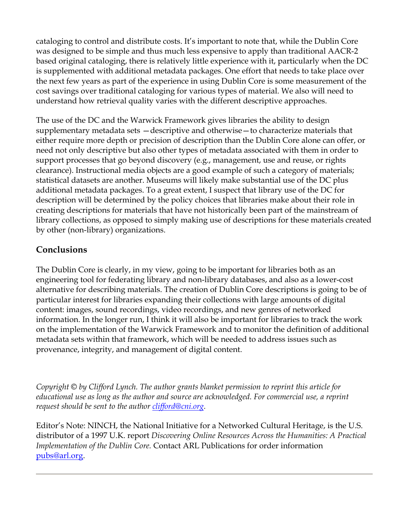cataloging to control and distribute costs. It's important to note that, while the Dublin Core was designed to be simple and thus much less expensive to apply than traditional AACR-2 based original cataloging, there is relatively little experience with it, particularly when the DC is supplemented with additional metadata packages. One effort that needs to take place over the next few years as part of the experience in using Dublin Core is some measurement of the cost savings over traditional cataloging for various types of material. We also will need to understand how retrieval quality varies with the different descriptive approaches.

The use of the DC and the Warwick Framework gives libraries the ability to design supplementary metadata sets —descriptive and otherwise—to characterize materials that either require more depth or precision of description than the Dublin Core alone can offer, or need not only descriptive but also other types of metadata associated with them in order to support processes that go beyond discovery (e.g., management, use and reuse, or rights clearance). Instructional media objects are a good example of such a category of materials; statistical datasets are another. Museums will likely make substantial use of the DC plus additional metadata packages. To a great extent, I suspect that library use of the DC for description will be determined by the policy choices that libraries make about their role in creating descriptions for materials that have not historically been part of the mainstream of library collections, as opposed to simply making use of descriptions for these materials created by other (non-library) organizations.

## **Conclusions**

The Dublin Core is clearly, in my view, going to be important for libraries both as an engineering tool for federating library and non-library databases, and also as a lower-cost alternative for describing materials. The creation of Dublin Core descriptions is going to be of particular interest for libraries expanding their collections with large amounts of digital content: images, sound recordings, video recordings, and new genres of networked information. In the longer run, I think it will also be important for libraries to track the work on the implementation of the Warwick Framework and to monitor the definition of additional metadata sets within that framework, which will be needed to address issues such as provenance, integrity, and management of digital content.

*Copyright © by Clifford Lynch. The author grants blanket permission to reprint this article for educational use as long as the author and source are acknowledged. For commercial use, a reprint request should be sent to the author clifford@cni.org.*

Editor's Note: NINCH, the National Initiative for a Networked Cultural Heritage, is the U.S. distributor of a 1997 U.K. report *Discovering Online Resources Across the Humanities: A Practical Implementation of the Dublin Core.* Contact ARL Publications for order information pubs@arl.org.